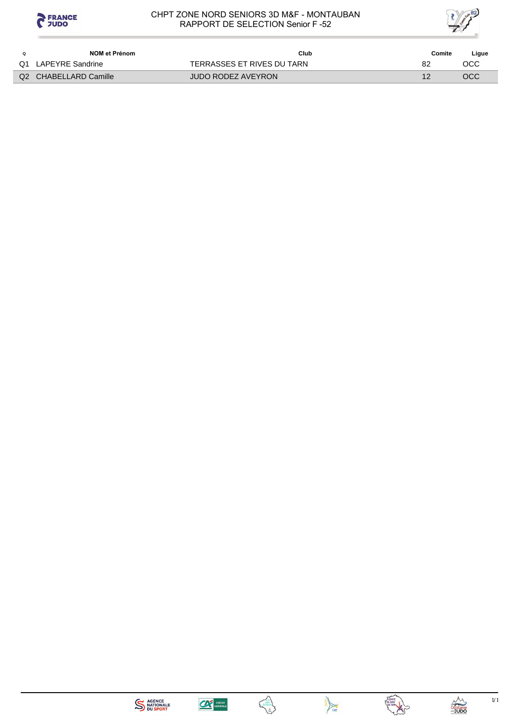



|    | NOM et Prénom         | Club                       | Comite | Ligue |
|----|-----------------------|----------------------------|--------|-------|
| Q1 | LAPEYRE Sandrine      | TERRASSES ET RIVES DU TARN | 82     | осс   |
|    | Q2 CHABELLARD Camille | <b>JUDO RODEZ AVEYRON</b>  |        | OCC   |







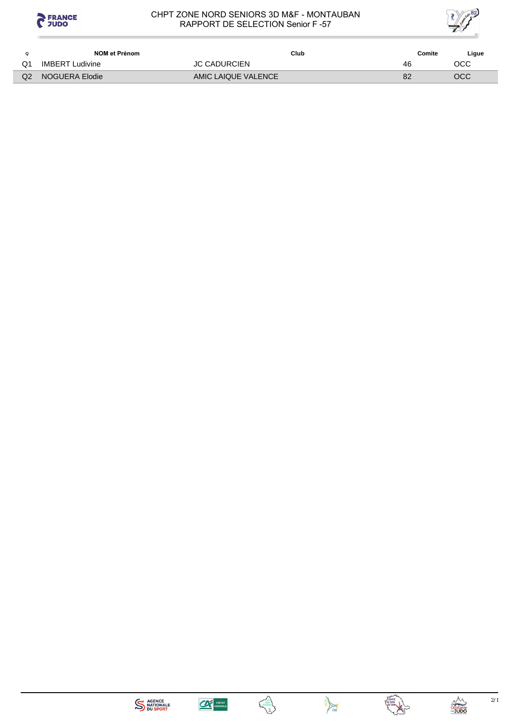



| Ω  | NOM et Prénom          | Club                | Comite | Ligue |
|----|------------------------|---------------------|--------|-------|
| Q1 | <b>IMBERT Ludivine</b> | <b>JC CADURCIEN</b> | 46     | OCC   |
| Q2 | NOGUERA Elodie         | AMIC LAIQUE VALENCE | 82     | OCC   |









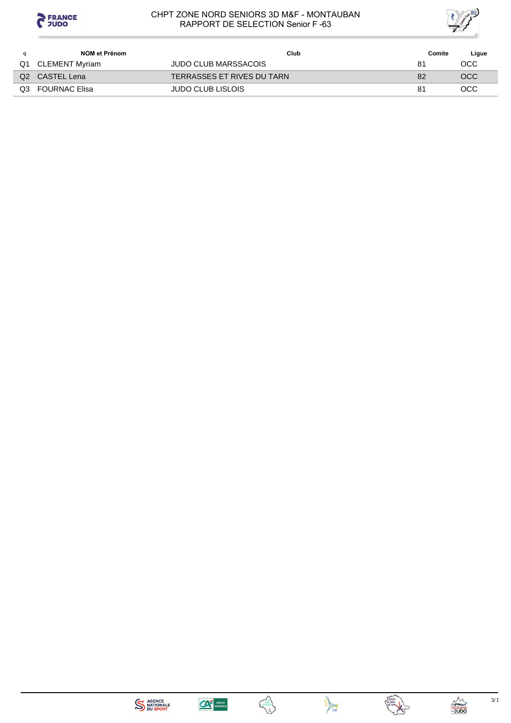



|    | NOM et Prénom        | Club                        | Comite | Ligue      |
|----|----------------------|-----------------------------|--------|------------|
| Q1 | CLEMENT Myriam       | <b>JUDO CLUB MARSSACOIS</b> | 81     | OCC.       |
|    | Q2 CASTEL Lena       | TERRASSES ET RIVES DU TARN  | 82     | <b>OCC</b> |
| Q3 | <b>FOURNAC Elisa</b> | <b>JUDO CLUB LISLOIS</b>    | 81     | <b>OCC</b> |







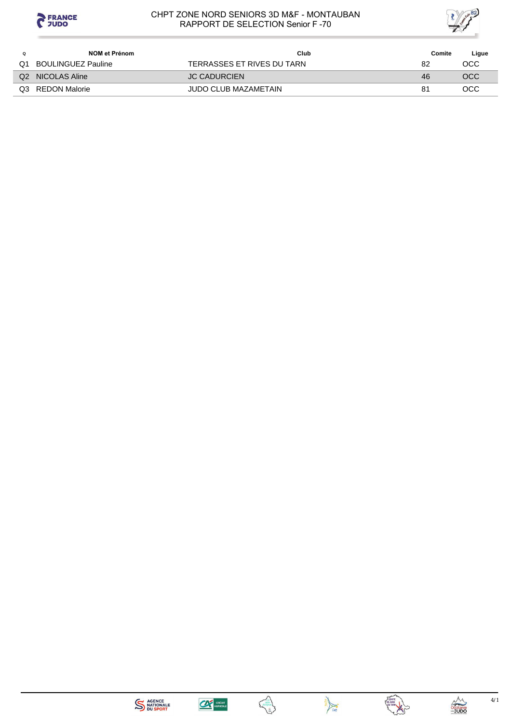



|    | NOM et Prénom      | Club                        | Comite | Ligue |
|----|--------------------|-----------------------------|--------|-------|
| Q1 | BOULINGUEZ Pauline | TERRASSES ET RIVES DU TARN  | 82     | OCC   |
|    | Q2 NICOLAS Aline   | <b>JC CADURCIEN</b>         | 46     | OCC   |
| Q3 | REDON Malorie      | <b>JUDO CLUB MAZAMETAIN</b> | 81     | OCC   |









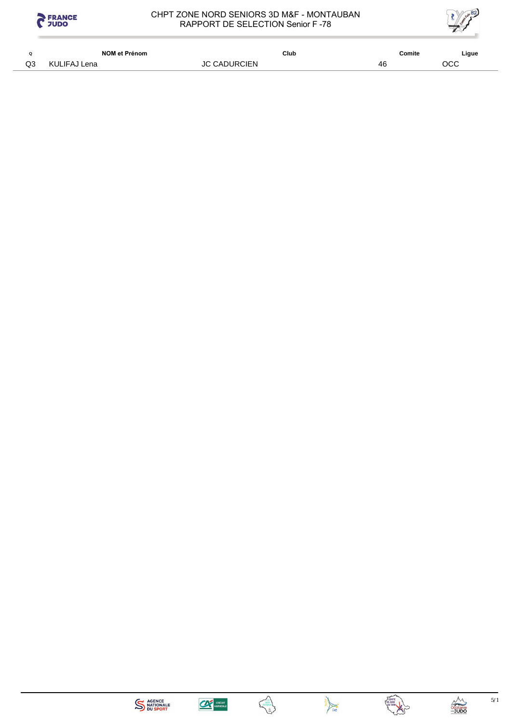



| Ω  | NOM et Prénom | Club                | Comite | Ligue |
|----|---------------|---------------------|--------|-------|
| Q3 | KULIFAJ Lena  | <b>JC CADURCIEN</b> | 46     | OCC   |









 $5/1$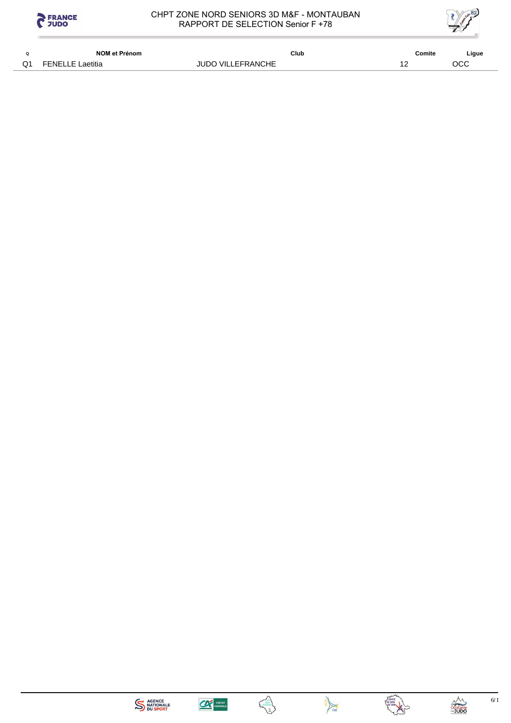



|           | NOM et Prénom           | Club                     | Comite | Ligue |
|-----------|-------------------------|--------------------------|--------|-------|
| $\bigcap$ | <b>FENELLE Laetitia</b> | <b>JUDO VILLEFRANCHE</b> |        | осс   |











 $6/1$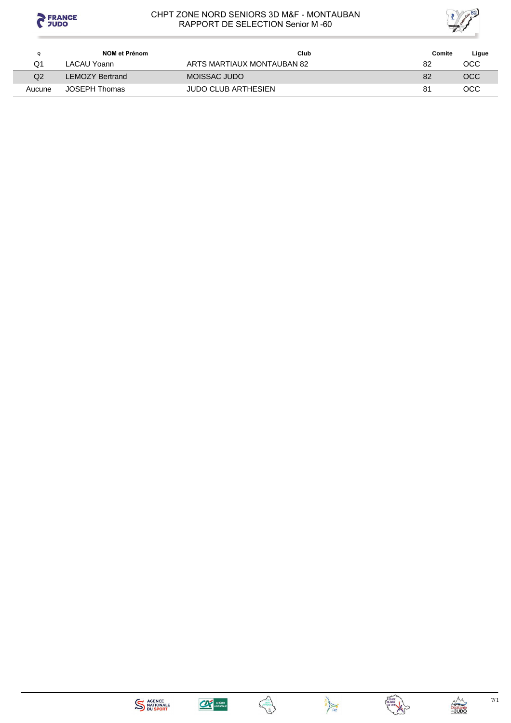



| Q      | NOM et Prénom          | Club                       | Comite | Ligue |
|--------|------------------------|----------------------------|--------|-------|
| Q1     | LACAU Yoann            | ARTS MARTIAUX MONTAUBAN 82 | 82     | OCC   |
| Q2     | <b>LEMOZY Bertrand</b> | MOISSAC JUDO               | 82     | OCC   |
| Aucune | JOSEPH Thomas          | <b>JUDO CLUB ARTHESIEN</b> | 81     | OCC   |







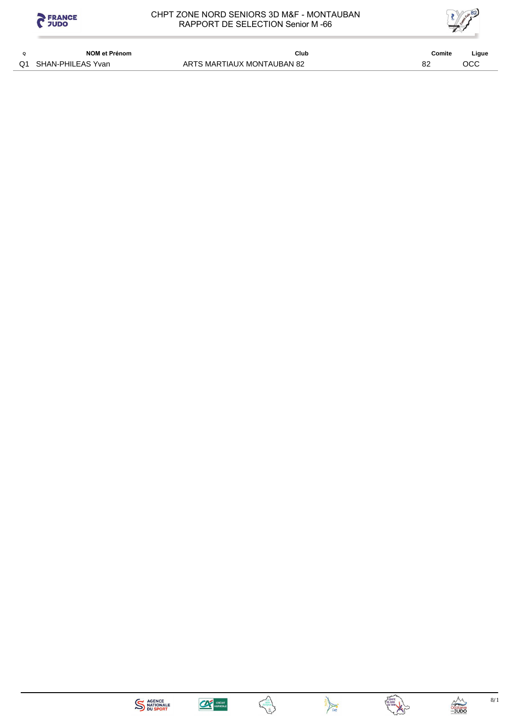



|    | <b>NOM et Prénom</b> | Club                       | Comite   | Ligue |
|----|----------------------|----------------------------|----------|-------|
| ∩1 | SHAN-PHILEAS Yvan    | ARTS MARTIAUX MONTAUBAN 82 | $\Omega$ |       |









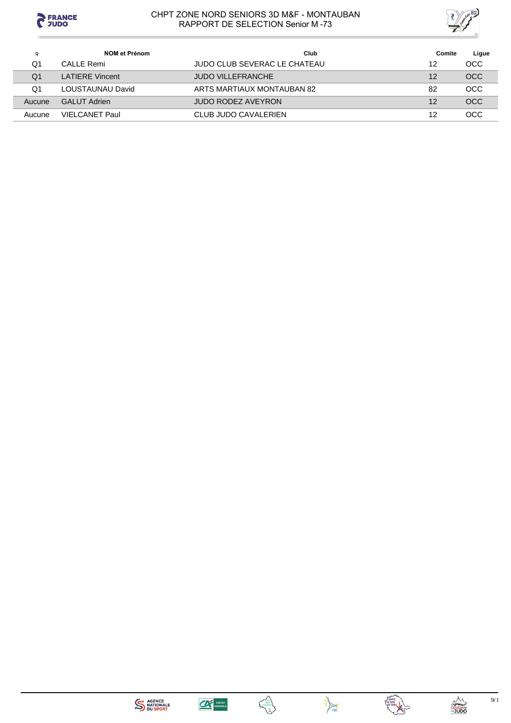



| Q      | NOM et Prénom          | Club                         | Comite | Ligue      |
|--------|------------------------|------------------------------|--------|------------|
| Q1     | CALLE Remi             | JUDO CLUB SEVERAC LE CHATEAU | 12     | <b>OCC</b> |
| Q1     | <b>LATIERE Vincent</b> | <b>JUDO VILLEFRANCHE</b>     | 12     | <b>OCC</b> |
| Q1     | LOUSTAUNAU David       | ARTS MARTIAUX MONTAUBAN 82   | 82     | <b>OCC</b> |
| Aucune | <b>GALUT Adrien</b>    | <b>JUDO RODEZ AVEYRON</b>    | 12     | <b>OCC</b> |
| Aucune | VIFI CANFT Paul        | CLUB JUDO CAVALERIEN         | 12     | OCC        |







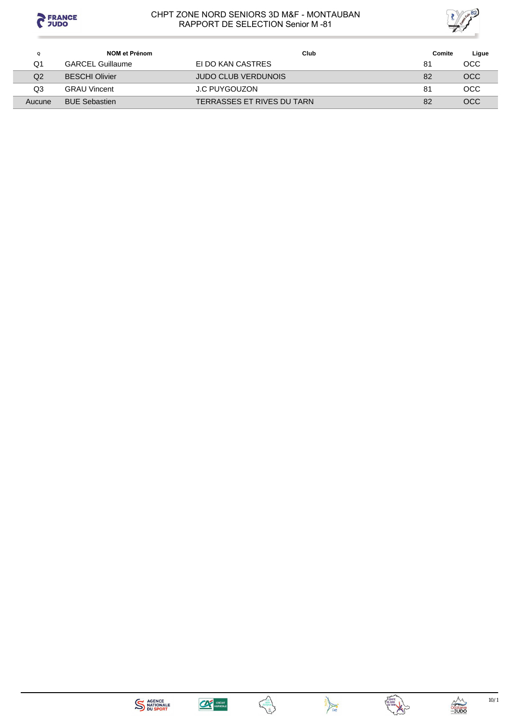



| Q      | NOM et Prénom           | Club                       | Comite | Ligue      |
|--------|-------------------------|----------------------------|--------|------------|
| Q1     | <b>GARCEL Guillaume</b> | EI DO KAN CASTRES          | 81     | OCC        |
| Q2     | <b>BESCHI Olivier</b>   | <b>JUDO CLUB VERDUNOIS</b> | 82     | <b>OCC</b> |
| Q3     | <b>GRAU Vincent</b>     | J.C PUYGOUZON              | 81     | <b>OCC</b> |
| Aucune | <b>BUE Sebastien</b>    | TERRASSES ET RIVES DU TARN | 82     | <b>OCC</b> |









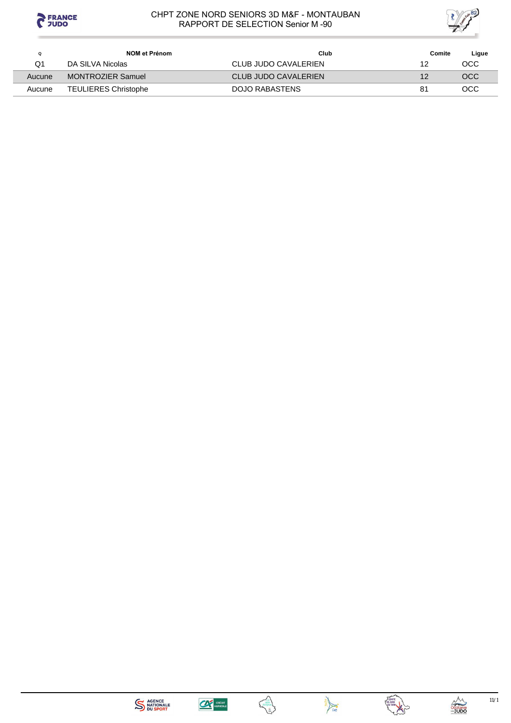



| Q      | NOM et Prénom               | Club                 | Comite | Ligue |
|--------|-----------------------------|----------------------|--------|-------|
| Q1     | DA SILVA Nicolas            | CLUB JUDO CAVALERIEN | 12     | осс   |
| Aucune | <b>MONTROZIER Samuel</b>    | CLUB JUDO CAVALERIEN | 12     | OCC   |
| Aucune | <b>TEULIERES Christophe</b> | DOJO RABASTENS       | 81     | осс   |









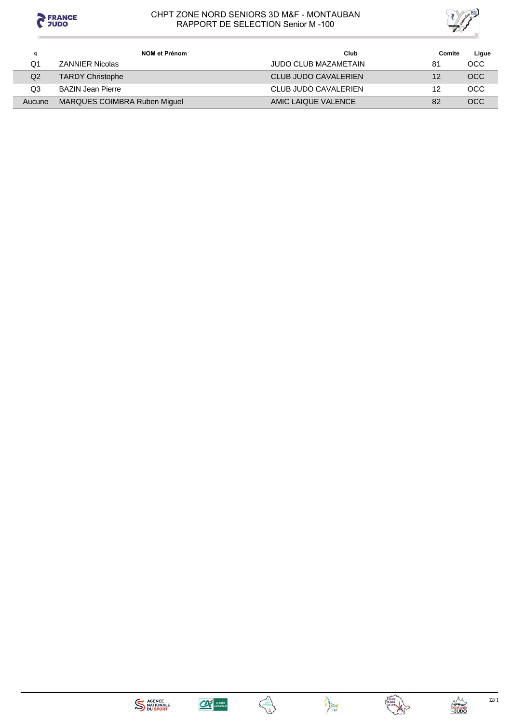



| ۵      | NOM et Prénom                | Club                 | Comite | Ligue      |
|--------|------------------------------|----------------------|--------|------------|
| Q1     | <b>ZANNIER Nicolas</b>       | JUDO CLUB MAZAMETAIN | 81     | OCC        |
| Q2     | <b>TARDY Christophe</b>      | CLUB JUDO CAVALERIEN | 12     | <b>OCC</b> |
| Q3     | <b>BAZIN Jean Pierre</b>     | CLUB JUDO CAVALERIEN | 12     | OCC.       |
| Aucune | MARQUES COIMBRA Ruben Miquel | AMIC LAIQUE VALENCE  | 82     | OCC.       |